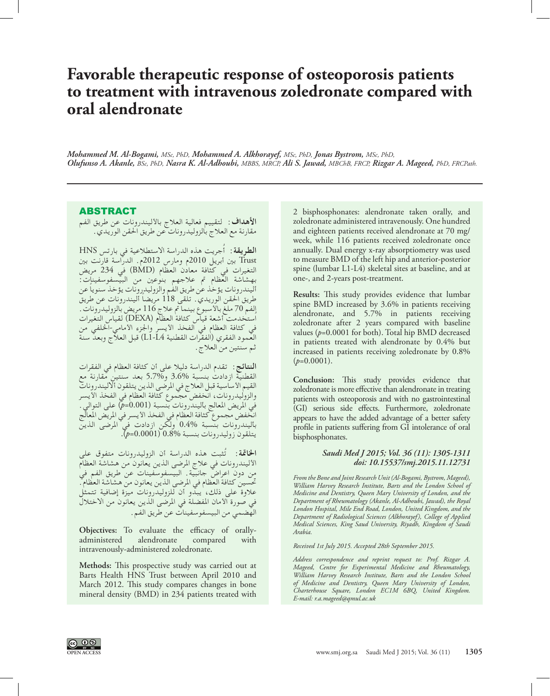# **Favorable therapeutic response of osteoporosis patients to treatment with intravenous zoledronate compared with oral alendronate**

*Mohammed M. Al-Bogami, MSc, PhD, Mohammed A. Alkhorayef, MSc, PhD, Jonas Bystrom, MSc, PhD, Olufunso A. Akanle, BSc, PhD, Nasra K. Al-Adhoubi, MBBS, MRCP, Ali S. Jawad, MBChB, FRCP, Rizgar A. Mageed, PhD, FRCPath.*

## ABSTRACT

**األهداف:** لتقييم فعالية العالج باألليندرونات عن طريق الفم مقارنة مع العالج بالزوليدرونات عن طريق احلقن الوريدي.

ُجريت هذه الدراسة االستطالعية في بارتس HNS **الطريقة:** أ Trust بني أبريل 2010م ومارس 2012م. الدراسة قارنت بني التغيرات في كثافة معادن العظام (BMD) في 234 مريض<br>بهشاشة العظام تم علاجهم بنوعين من البيسفوسفينات:<br>أليندرونات يؤخذ عن طريق الفم والزوليدرونات يؤخذ سنوياً عن طريق الحقن الوريدي. تلقى 118 مريضاً أليندرونات عن طريق الفم 70 ملغ باألسبوع بينما مت عالج 116 مريض بالزوليدرونات. اُستخدمت أشعة قياس كثافة العظام )DEXA )لقياس التغيرات في كثافة العظام في الفخذ الأيسر والجزء الأمامي-الخلفي من<br>العمود الفقري (الفقرات القطنية L1-L4) قبل العلاج وبعد سنة ثم سنتین من العالج.

**النتائج:** تقدم الدراسة دلیال على أن كثافة العظام في الفقرات القطنية ازدادت بنسبة 3.6% و7.7% بعد سنتين مقارنة مع<br>القيم الأساسية قبل العلاج في المرضى الذين يتلقون ألاليندرونات والروليدرونات، انخفض مجموع كثافة العظام في الفحذ الأيسر<br>والروليدرونات، انخفض مجموع كثافة العظام في الفحذ الأيسر<br>في المريض المعالج باليندرونات بنسبة (0.001هـ/) على التوالي. بألیندرونات بنسبة 0.4% ولكن ازدادت في املرضى الذین یتلقون زولیدرونات بنسبة 0.8% )0.0001=*p*).

**اخلامتة:** ُ تثبت هذه الدراسة أن الزولیدرونات متفوق على األليندرونات في عالج املرضى الذین یعانون من هشاشة العظام من دون اعراض جانبية. البيسفوسفينات عن طريق الفم فيٰ<br>من دون اعراض جانبية. البيسفوسفينات عن طريق الفمل في<br>تحسين كثافة العظام في المرضى الذين يعانون من هشاشة العظام. تحسين كثافة العظام في المرضى الذين يعانون من هشاشة العظام .<br>علاوة على ذلك، يبدو أن للزوليدرونات ميزة إضافية تتمثل في صورة األمان املفضلة في املرضى الذین یعانون من االختالل الهضمي من البیسفوسفینات عن طریق الفم.

**Objectives:** To evaluate the efficacy of orallyadministered alendronate compared with intravenously-administered zoledronate.

**Methods:** This prospective study was carried out at Barts Health HNS Trust between April 2010 and March 2012. This study compares changes in bone mineral density (BMD) in 234 patients treated with 2 bisphosphonates: alendronate taken orally, and zoledronate administered intravenously. One hundred and eighteen patients received alendronate at 70 mg/ week, while 116 patients received zoledronate once annually. Dual energy x-ray absorptiometry was used to measure BMD of the left hip and anterior-posterior spine (lumbar L1-L4) skeletal sites at baseline, and at one-, and 2-years post-treatment.

**Results:** This study provides evidence that lumbar spine BMD increased by 3.6% in patients receiving alendronate, and 5.7% in patients receiving zoledronate after 2 years compared with baseline values (*p*=0.0001 for both). Total hip BMD decreased in patients treated with alendronate by 0.4% but increased in patients receiving zoledronate by 0.8%  $(p=0.0001)$ .

**Conclusion:** This study provides evidence that zoledronate is more effective than alendronate in treating patients with osteoporosis and with no gastrointestinal (GI) serious side effects. Furthermore, zoledronate appears to have the added advantage of a better safety profile in patients suffering from GI intolerance of oral bisphosphonates.

### *Saudi Med J 2015; Vol. 36 (11): 1305-1311 doi: 10.15537/smj.2015.11.12731*

*From the Bone and Joint Research Unit (Al-Bogami, Bystrom, Mageed), William Harvey Research Institute, Barts and the London School of Medicine and Dentistry, Queen Mary University of London, and the Department of Rheumatology (Akanle, Al-Adhoubi, Jawad), the Royal London Hospital, Mile End Road, London, United Kingdom, and the Department of Radiological Sciences (Alkhorayef), College of Applied Medical Sciences, King Saud University, Riyadh, Kingdom of Saudi Arabia.*

*Received 1st July 2015. Accepted 28th September 2015.*

*Address correspondence and reprint request to: Prof. Rizgar A. Mageed, Centre for Experimental Medicine and Rheumatology, William Harvey Research Institute, Barts and the London School of Medicine and Dentistry, Queen Mary University of London, Charterhouse Square, London EC1M 6BQ, United Kingdom. E-mail: r.a.mageed@qmul.ac.uk*

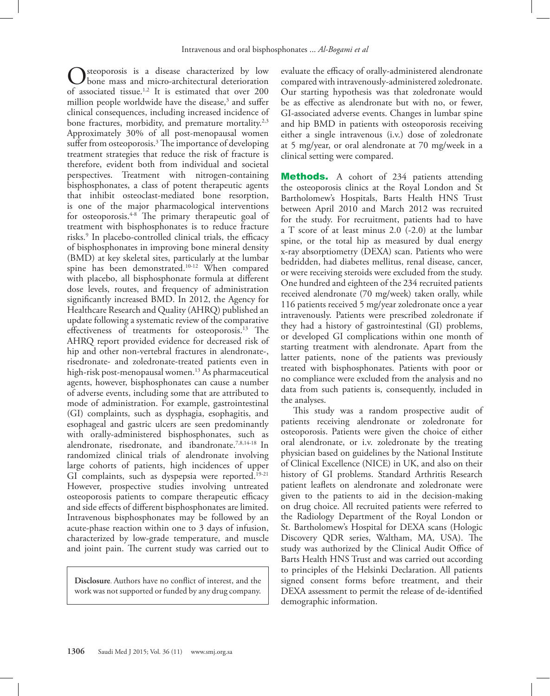steoporosis is a disease characterized by low bone mass and micro-architectural deterioration of associated tissue.<sup>1[,2](#page-5-1)</sup> It is estimated that over 200 million people worldwide have the disease,<sup>3</sup> and suffer clinical consequences, including increased incidence of bone fractures, morbidity, and premature mortality.<sup>[2](#page-5-1)[,3](#page-5-2)</sup> Approximately 30% of all post-menopausal women suffer from osteoporosis.[3](#page-5-2) The importance of developing treatment strategies that reduce the risk of fracture is therefore, evident both from individual and societal perspectives. Treatment with nitrogen-containing bisphosphonates, a class of potent therapeutic agents that inhibit osteoclast-mediated bone resorption, is one of the major pharmacological interventions for osteoporosis. $4-8$  The primary therapeutic goal of treatment with bisphosphonates is to reduce fracture risks[.9](#page-5-5) In placebo-controlled clinical trials, the efficacy of bisphosphonates in improving bone mineral density (BMD) at key skeletal sites, particularly at the lumbar spine has been demonstrated.[10](#page-5-6)[-12](#page-5-7) When compared with placebo, all bisphosphonate formula at different dose levels, routes, and frequency of administration significantly increased BMD. In 2012, the Agency for Healthcare Research and Quality (AHRQ) published an update following a systematic review of the comparative effectiveness of treatments for osteoporosis.<sup>13</sup> The AHRQ report provided evidence for decreased risk of hip and other non-vertebral fractures in alendronate-, risedronate- and zoledronate-treated patients even in high-risk post-menopausal women.<sup>[13](#page-5-8)</sup> As pharmaceutical agents, however, bisphosphonates can cause a number of adverse events, including some that are attributed to mode of administration. For example, gastrointestinal (GI) complaints, such as dysphagia, esophagitis, and esophageal and gastric ulcers are seen predominantly with orally-administered bisphosphonates, such as alendronate, risedronate, and ibandronate.<sup>7,[8](#page-5-4),[14](#page-5-10)-18</sup> In randomized clinical trials of alendronate involving large cohorts of patients, high incidences of upper GI complaints, such as dyspepsia were reported.<sup>[19](#page-5-12)-21</sup> However, prospective studies involving untreated osteoporosis patients to compare therapeutic efficacy and side effects of different bisphosphonates are limited. Intravenous bisphosphonates may be followed by an acute-phase reaction within one to 3 days of infusion, characterized by low-grade temperature, and muscle and joint pain. The current study was carried out to

**Disclosure**. Authors have no conflict of interest, and the work was not supported or funded by any drug company.

evaluate the efficacy of orally-administered alendronate compared with intravenously-administered zoledronate. Our starting hypothesis was that zoledronate would be as effective as alendronate but with no, or fewer, GI-associated adverse events. Changes in lumbar spine and hip BMD in patients with osteoporosis receiving either a single intravenous (i.v.) dose of zoledronate at 5 mg/year, or oral alendronate at 70 mg/week in a clinical setting were compared.

**Methods.** A cohort of 234 patients attending the osteoporosis clinics at the Royal London and St Bartholomew's Hospitals, Barts Health HNS Trust between April 2010 and March 2012 was recruited for the study. For recruitment, patients had to have a T score of at least minus 2.0 (-2.0) at the lumbar spine, or the total hip as measured by dual energy x-ray absorptiometry (DEXA) scan. Patients who were bedridden, had diabetes mellitus, renal disease, cancer, or were receiving steroids were excluded from the study. One hundred and eighteen of the 234 recruited patients received alendronate (70 mg/week) taken orally, while 116 patients received 5 mg/year zoledronate once a year intravenously. Patients were prescribed zoledronate if they had a history of gastrointestinal (GI) problems, or developed GI complications within one month of starting treatment with alendronate. Apart from the latter patients, none of the patients was previously treated with bisphosphonates. Patients with poor or no compliance were excluded from the analysis and no data from such patients is, consequently, included in the analyses.

This study was a random prospective audit of patients receiving alendronate or zoledronate for osteoporosis. Patients were given the choice of either oral alendronate, or i.v. zoledronate by the treating physician based on guidelines by the National Institute of Clinical Excellence (NICE) in UK, and also on their history of GI problems. Standard Arthritis Research patient leaflets on alendronate and zoledronate were given to the patients to aid in the decision-making on drug choice. All recruited patients were referred to the Radiology Department of the Royal London or St. Bartholomew's Hospital for DEXA scans (Hologic Discovery QDR series, Waltham, MA, USA). The study was authorized by the Clinical Audit Office of Barts Health HNS Trust and was carried out according to principles of the Helsinki Declaration. All patients signed consent forms before treatment, and their DEXA assessment to permit the release of de-identified demographic information.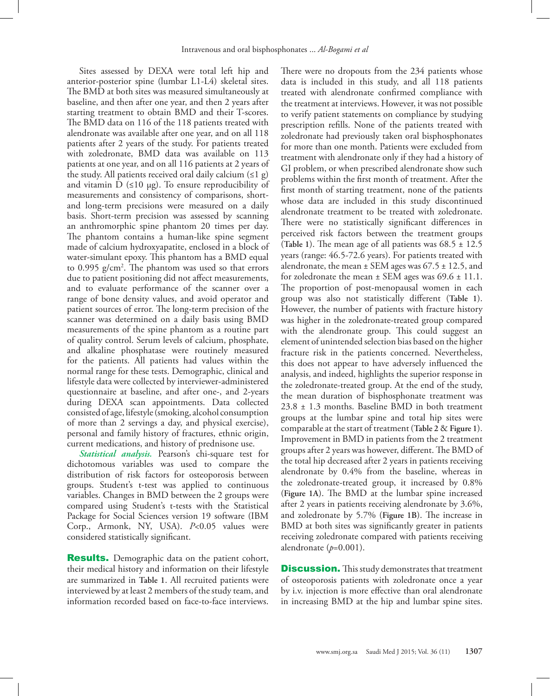Sites assessed by DEXA were total left hip and anterior-posterior spine (lumbar L1-L4) skeletal sites. The BMD at both sites was measured simultaneously at baseline, and then after one year, and then 2 years after starting treatment to obtain BMD and their T-scores. The BMD data on 116 of the 118 patients treated with alendronate was available after one year, and on all 118 patients after 2 years of the study. For patients treated with zoledronate, BMD data was available on 113 patients at one year, and on all 116 patients at 2 years of the study. All patients received oral daily calcium  $(≤1 g)$ and vitamin D  $(\leq 10 \mu g)$ . To ensure reproducibility of measurements and consistency of comparisons, shortand long-term precisions were measured on a daily basis. Short-term precision was assessed by scanning an anthromorphic spine phantom 20 times per day. The phantom contains a human-like spine segment made of calcium hydroxyapatite, enclosed in a block of water-simulant epoxy. This phantom has a BMD equal to 0.995  $g/cm<sup>2</sup>$ . The phantom was used so that errors due to patient positioning did not affect measurements, and to evaluate performance of the scanner over a range of bone density values, and avoid operator and patient sources of error. The long-term precision of the scanner was determined on a daily basis using BMD measurements of the spine phantom as a routine part of quality control. Serum levels of calcium, phosphate, and alkaline phosphatase were routinely measured for the patients. All patients had values within the normal range for these tests. Demographic, clinical and lifestyle data were collected by interviewer-administered questionnaire at baseline, and after one-, and 2-years during DEXA scan appointments. Data collected consisted of age, lifestyle (smoking, alcohol consumption of more than 2 servings a day, and physical exercise), personal and family history of fractures, ethnic origin, current medications, and history of prednisone use.

*Statistical analysis.* Pearson's chi-square test for dichotomous variables was used to compare the distribution of risk factors for osteoporosis between groups. Student's t-test was applied to continuous variables. Changes in BMD between the 2 groups were compared using Student's t-tests with the Statistical Package for Social Sciences version 19 software (IBM Corp., Armonk, NY, USA). *P*<0.05 values were considered statistically significant.

**Results.** Demographic data on the patient cohort, their medical history and information on their lifestyle are summarized in **[Table 1](#page-3-0)**. All recruited patients were interviewed by at least 2 members of the study team, and information recorded based on face-to-face interviews. There were no dropouts from the 234 patients whose data is included in this study, and all 118 patients treated with alendronate confirmed compliance with the treatment at interviews. However, it was not possible to verify patient statements on compliance by studying prescription refills. None of the patients treated with zoledronate had previously taken oral bisphosphonates for more than one month. Patients were excluded from treatment with alendronate only if they had a history of GI problem, or when prescribed alendronate show such problems within the first month of treatment. After the first month of starting treatment, none of the patients whose data are included in this study discontinued alendronate treatment to be treated with zoledronate. There were no statistically significant differences in perceived risk factors between the treatment groups (**[Table 1](#page-3-0)**). The mean age of all patients was 68.5 ± 12.5 years (range: 46.5-72.6 years). For patients treated with alendronate, the mean  $\pm$  SEM ages was 67.5  $\pm$  12.5, and for zoledronate the mean  $\pm$  SEM ages was 69.6  $\pm$  11.1. The proportion of post-menopausal women in each group was also not statistically different (**[Table 1](#page-3-0)**). However, the number of patients with fracture history was higher in the zoledronate-treated group compared with the alendronate group. This could suggest an element of unintended selection bias based on the higher fracture risk in the patients concerned. Nevertheless, this does not appear to have adversely influenced the analysis, and indeed, highlights the superior response in the zoledronate-treated group. At the end of the study, the mean duration of bisphosphonate treatment was 23.8 ± 1.3 months. Baseline BMD in both treatment groups at the lumbar spine and total hip sites were comparable at the start of treatment (**[Table 2](#page-3-1)** & **[Figure 1](#page-4-0)**). Improvement in BMD in patients from the 2 treatment groups after 2 years was however, different. The BMD of the total hip decreased after 2 years in patients receiving alendronate by 0.4% from the baseline, whereas in the zoledronate-treated group, it increased by 0.8% (**[Figure 1A](#page-4-0)**). The BMD at the lumbar spine increased after 2 years in patients receiving alendronate by 3.6%, and zoledronate by 5.7% (**[Figure 1B](#page-4-0)**). The increase in BMD at both sites was significantly greater in patients receiving zoledronate compared with patients receiving alendronate  $(p=0.001)$ .

**Discussion.** This study demonstrates that treatment of osteoporosis patients with zoledronate once a year by i.v. injection is more effective than oral alendronate in increasing BMD at the hip and lumbar spine sites.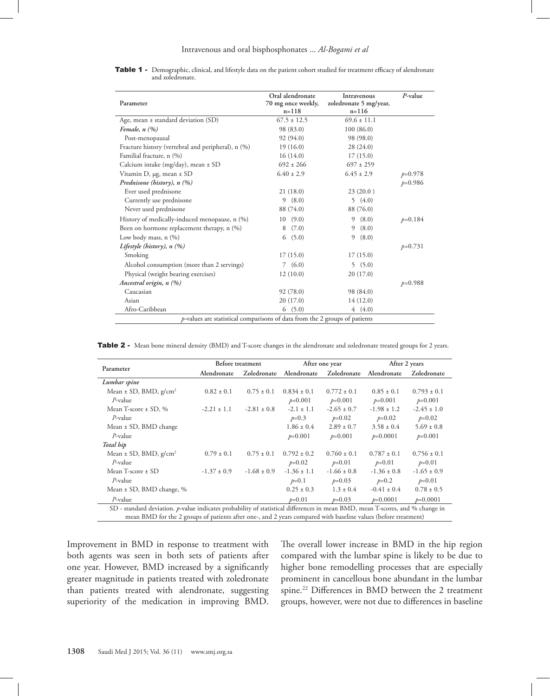#### Intravenous and oral bisphosphonates ... *Al-Bogami et al*

<span id="page-3-0"></span>

| Table 1 - Demographic, clinical, and lifestyle data on the patient cohort studied for treatment efficacy of alendronate |  |  |  |
|-------------------------------------------------------------------------------------------------------------------------|--|--|--|
| and zoledronate.                                                                                                        |  |  |  |

| Parameter                                                                  | Oral alendronate<br>70 mg once weekly,<br>$n = 118$ | Intravenous<br>zoledronate 5 mg/year,<br>$n = 116$ | P-value   |  |  |  |
|----------------------------------------------------------------------------|-----------------------------------------------------|----------------------------------------------------|-----------|--|--|--|
| Age, mean $\pm$ standard deviation (SD)                                    | $67.5 \pm 12.5$                                     | $69.6 \pm 11.1$                                    |           |  |  |  |
| Female, $n(%)$                                                             | 98 (83.0)                                           | 100(86.0)                                          |           |  |  |  |
| Post-menopausal                                                            | 92 (94.0)                                           | 98 (98.0)                                          |           |  |  |  |
| Fracture history (vertebral and peripheral), n (%)                         | 19(16.0)                                            | 28(24.0)                                           |           |  |  |  |
| Familial fracture, n (%)                                                   | 16(14.0)                                            | 17(15.0)                                           |           |  |  |  |
| Calcium intake (mg/day), mean $\pm$ SD                                     | $692 + 266$                                         | $697 \pm 259$                                      |           |  |  |  |
| Vitamin D, $\mu$ g, mean $\pm$ SD                                          | $6.40 \pm 2.9$                                      | $6.45 \pm 2.9$                                     | $p=0.978$ |  |  |  |
| Prednisone (history), n (%)                                                |                                                     |                                                    | $p=0.986$ |  |  |  |
| Ever used prednisone                                                       | 21(18.0)                                            | 23(20.0)                                           |           |  |  |  |
| Currently use prednisone                                                   | 9(8.0)                                              | 5(4.0)                                             |           |  |  |  |
| Never used prednisone                                                      | 88 (74.0)                                           | 88 (76.0)                                          |           |  |  |  |
| History of medically-induced menopause, n (%)                              | 10(9.0)                                             | 9(8.0)                                             | $p=0.184$ |  |  |  |
| Been on hormone replacement therapy, n (%)                                 | (7.0)<br>8                                          | 9(8.0)                                             |           |  |  |  |
| Low body mass, $n$ $(\%)$                                                  | 6(5.0)                                              | 9(8.0)                                             |           |  |  |  |
| Lifestyle (history), $n$ (%)                                               |                                                     |                                                    | $p=0.731$ |  |  |  |
| Smoking                                                                    | 17(15.0)                                            | 17(15.0)                                           |           |  |  |  |
| Alcohol consumption (more than 2 servings)                                 | 7(6.0)                                              | 5(5.0)                                             |           |  |  |  |
| Physical (weight bearing exercises)                                        | 12(10.0)                                            | 20(17.0)                                           |           |  |  |  |
| Ancestral origin, n (%)                                                    |                                                     |                                                    | $p=0.988$ |  |  |  |
| Caucasian                                                                  | 92 (78.0)                                           | 98 (84.0)                                          |           |  |  |  |
| Asian                                                                      | 20(17.0)                                            | 14(12.0)                                           |           |  |  |  |
| Afro-Caribbean                                                             | (5.0)<br>6                                          | 4(4.0)                                             |           |  |  |  |
| p-values are statistical comparisons of data from the 2 groups of patients |                                                     |                                                    |           |  |  |  |

<span id="page-3-1"></span>Table 2 - Mean bone mineral density (BMD) and T-score changes in the alendronate and zoledronate treated groups for 2 years.

|                                                                                                                                                                                                                                                                                                                                                                                                                        | Before treatment |                 | After one year  |                 | After 2 years   |                 |  |  |
|------------------------------------------------------------------------------------------------------------------------------------------------------------------------------------------------------------------------------------------------------------------------------------------------------------------------------------------------------------------------------------------------------------------------|------------------|-----------------|-----------------|-----------------|-----------------|-----------------|--|--|
| Parameter                                                                                                                                                                                                                                                                                                                                                                                                              | Alendronate      | Zoledronate     | Alendronate     | Zoledronate     | Alendronate     | Zoledronate     |  |  |
| Lumbar spine                                                                                                                                                                                                                                                                                                                                                                                                           |                  |                 |                 |                 |                 |                 |  |  |
| Mean $\pm$ SD, BMD, $g/cm^2$                                                                                                                                                                                                                                                                                                                                                                                           | $0.82 \pm 0.1$   | $0.75 \pm 0.1$  | $0.834 \pm 0.1$ | $0.772 \pm 0.1$ | $0.85 \pm 0.1$  | $0.793 \pm 0.1$ |  |  |
| $P$ -value                                                                                                                                                                                                                                                                                                                                                                                                             |                  |                 | $p=0.001$       | $p=0.001$       | $p=0.001$       | $p=0.001$       |  |  |
| Mean T-score $\pm$ SD, %                                                                                                                                                                                                                                                                                                                                                                                               | $-2.21 \pm 1.1$  | $-2.81 \pm 0.8$ | $-2.1 \pm 1.1$  | $-2.65 \pm 0.7$ | $-1.98 \pm 1.2$ | $-2.45 \pm 1.0$ |  |  |
| $P$ -value                                                                                                                                                                                                                                                                                                                                                                                                             |                  |                 | $p=0.3$         | $p=0.02$        | $p=0.02$        | $p=0.02$        |  |  |
| Mean $\pm$ SD, BMD change                                                                                                                                                                                                                                                                                                                                                                                              |                  |                 | $1.86 \pm 0.4$  | $2.89 \pm 0.7$  | $3.58 \pm 0.4$  | $5.69 \pm 0.8$  |  |  |
| $P$ -value                                                                                                                                                                                                                                                                                                                                                                                                             |                  |                 | $p=0.001$       | $p=0.001$       | $p=0.0001$      | $p=0.001$       |  |  |
| Total hip                                                                                                                                                                                                                                                                                                                                                                                                              |                  |                 |                 |                 |                 |                 |  |  |
| Mean $\pm$ SD, BMD, $g/cm^2$                                                                                                                                                                                                                                                                                                                                                                                           | $0.79 \pm 0.1$   | $0.75 \pm 0.1$  | $0.792 \pm 0.2$ | $0.760 \pm 0.1$ | $0.787 \pm 0.1$ | $0.756 \pm 0.1$ |  |  |
| $P$ -value                                                                                                                                                                                                                                                                                                                                                                                                             |                  |                 | $p=0.02$        | $p=0.01$        | $p=0.01$        | $p=0.01$        |  |  |
| Mean T-score $\pm$ SD                                                                                                                                                                                                                                                                                                                                                                                                  | $-1.37 \pm 0.9$  | $-1.68 \pm 0.9$ | $-1.36 \pm 1.1$ | $-1.66 \pm 0.8$ | $-1.36 \pm 0.8$ | $-1.65 \pm 0.9$ |  |  |
| $P$ -value                                                                                                                                                                                                                                                                                                                                                                                                             |                  |                 | $p=0.1$         | $p=0.03$        | $p=0.2$         | $p=0.01$        |  |  |
| Mean $\pm$ SD, BMD change, %                                                                                                                                                                                                                                                                                                                                                                                           |                  |                 | $0.25 \pm 0.3$  | $1.3 \pm 0.4$   | $-0.41 \pm 0.4$ | $0.78 \pm 0.5$  |  |  |
| $P$ -value                                                                                                                                                                                                                                                                                                                                                                                                             |                  |                 | $p=0.01$        | $p=0.03$        | $p=0.0001$      | $p=0.0001$      |  |  |
| SD - standard deviation. p-value indicates probability of statistical differences in mean BMD, mean T-scores, and % change in                                                                                                                                                                                                                                                                                          |                  |                 |                 |                 |                 |                 |  |  |
| $\mathbf{D} \mathbf{I} \mathbf{D} \mathbf{A} \mathbf{A} \mathbf{A} \mathbf{A} \mathbf{A} \mathbf{A} \mathbf{A} \mathbf{A} \mathbf{A} \mathbf{A} \mathbf{A} \mathbf{A} \mathbf{A} \mathbf{A} \mathbf{A} \mathbf{A} \mathbf{A} \mathbf{A} \mathbf{A} \mathbf{A} \mathbf{A} \mathbf{A} \mathbf{A} \mathbf{A} \mathbf{A} \mathbf{A} \mathbf{A} \mathbf{A} \mathbf{A} \mathbf{A} \mathbf{A} \mathbf{A} \mathbf{A} \mathbf{$ |                  |                 |                 |                 |                 |                 |  |  |

mean BMD for the 2 groups of patients after one-, and 2 years compared with baseline values (before treatment)

Improvement in BMD in response to treatment with both agents was seen in both sets of patients after one year. However, BMD increased by a significantly greater magnitude in patients treated with zoledronate than patients treated with alendronate, suggesting superiority of the medication in improving BMD.

The overall lower increase in BMD in the hip region compared with the lumbar spine is likely to be due to higher bone remodelling processes that are especially prominent in cancellous bone abundant in the lumbar spine.<sup>22</sup> Differences in BMD between the 2 treatment groups, however, were not due to differences in baseline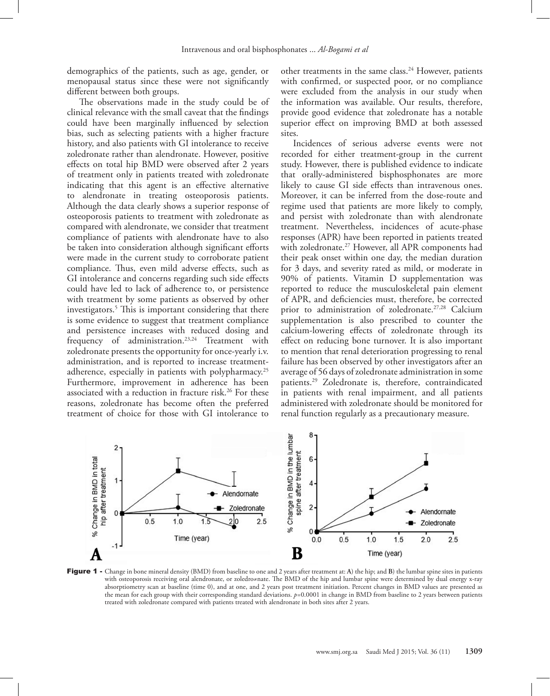demographics of the patients, such as age, gender, or menopausal status since these were not significantly different between both groups.

The observations made in the study could be of clinical relevance with the small caveat that the findings could have been marginally influenced by selection bias, such as selecting patients with a higher fracture history, and also patients with GI intolerance to receive zoledronate rather than alendronate. However, positive effects on total hip BMD were observed after 2 years of treatment only in patients treated with zoledronate indicating that this agent is an effective alternative to alendronate in treating osteoporosis patients. Although the data clearly shows a superior response of osteoporosis patients to treatment with zoledronate as compared with alendronate, we consider that treatment compliance of patients with alendronate have to also be taken into consideration although significant efforts were made in the current study to corroborate patient compliance. Thus, even mild adverse effects, such as GI intolerance and concerns regarding such side effects could have led to lack of adherence to, or persistence with treatment by some patients as observed by other investigators[.5](#page-5-15) This is important considering that there is some evidence to suggest that treatment compliance and persistence increases with reduced dosing and frequency of administration.<sup>[23](#page-6-0),[24](#page-6-1)</sup> Treatment with zoledronate presents the opportunity for once-yearly i.v. administration, and is reported to increase treatmentadherence, especially in patients with polypharmacy.<sup>25</sup> Furthermore, improvement in adherence has been associated with a reduction in fracture risk.<sup>[26](#page-6-3)</sup> For these reasons, zoledronate has become often the preferred treatment of choice for those with GI intolerance to

other treatments in the same class[.24](#page-6-1) However, patients with confirmed, or suspected poor, or no compliance were excluded from the analysis in our study when the information was available. Our results, therefore, provide good evidence that zoledronate has a notable superior effect on improving BMD at both assessed sites.

Incidences of serious adverse events were not recorded for either treatment-group in the current study. However, there is published evidence to indicate that orally-administered bisphosphonates are more likely to cause GI side effects than intravenous ones. Moreover, it can be inferred from the dose-route and regime used that patients are more likely to comply, and persist with zoledronate than with alendronate treatment. Nevertheless, incidences of acute-phase responses (APR) have been reported in patients treated with zoledronate.<sup>[27](#page-6-4)</sup> However, all APR components had their peak onset within one day, the median duration for 3 days, and severity rated as mild, or moderate in 90% of patients. Vitamin D supplementation was reported to reduce the musculoskeletal pain element of APR, and deficiencies must, therefore, be corrected prior to administration of zoledronate.<sup>[27](#page-6-4),[28](#page-6-5)</sup> Calcium supplementation is also prescribed to counter the calcium-lowering effects of zoledronate through its effect on reducing bone turnover. It is also important to mention that renal deterioration progressing to renal failure has been observed by other investigators after an average of 56 days of zoledronate administration in some patients.[29](#page-6-6) Zoledronate is, therefore, contraindicated in patients with renal impairment, and all patients administered with zoledronate should be monitored for renal function regularly as a precautionary measure.



<span id="page-4-0"></span>Figure 1 - Change in bone mineral density (BMD) from baseline to one and 2 years after treatment at: **A**) the hip; and **B**) the lumbar spine sites in patients with osteoporosis receiving oral alendronate, or zoledro≠nate. The BMD of the hip and lumbar spine were determined by dual energy x-ray absorptiometry scan at baseline (time 0), and at one, and 2 years post treatment initiation. Percent changes in BMD values are presented as the mean for each group with their corresponding standard deviations. *p=*0.0001 in change in BMD from baseline to 2 years between patients treated with zoledronate compared with patients treated with alendronate in both sites after 2 years.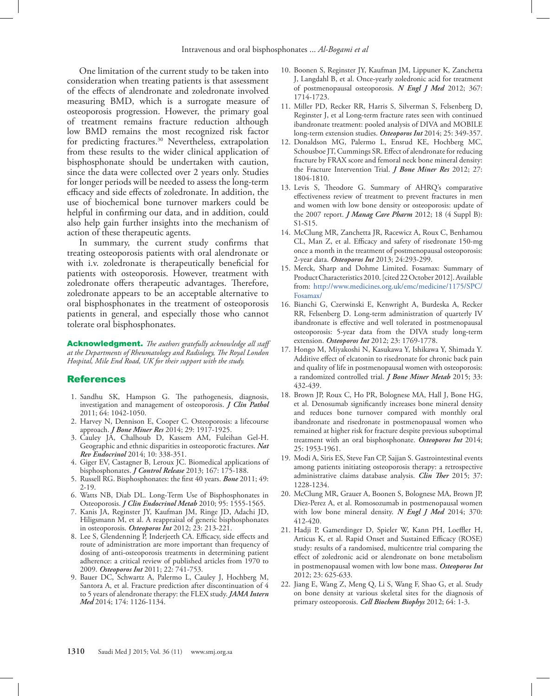One limitation of the current study to be taken into consideration when treating patients is that assessment of the effects of alendronate and zoledronate involved measuring BMD, which is a surrogate measure of osteoporosis progression. However, the primary goal of treatment remains fracture reduction although low BMD remains the most recognized risk factor for predicting fractures.<sup>[30](#page-6-7)</sup> Nevertheless, extrapolation from these results to the wider clinical application of bisphosphonate should be undertaken with caution, since the data were collected over 2 years only. Studies for longer periods will be needed to assess the long-term efficacy and side effects of zoledronate. In addition, the use of biochemical bone turnover markers could be helpful in confirming our data, and in addition, could also help gain further insights into the mechanism of action of these therapeutic agents.

In summary, the current study confirms that treating osteoporosis patients with oral alendronate or with i.v. zoledronate is therapeutically beneficial for patients with osteoporosis. However, treatment with zoledronate offers therapeutic advantages. Therefore, zoledronate appears to be an acceptable alternative to oral bisphosphonates in the treatment of osteoporosis patients in general, and especially those who cannot tolerate oral bisphosphonates.

Acknowledgment. *The authors gratefully acknowledge all staff at the Departments of Rheumatology and Radiology, The Royal London Hospital, Mile End Road, UK for their support with the study.* 

## **References**

- <span id="page-5-0"></span> 1. [Sandhu SK, Hampson G. The pathogenesis, diagnosis,](doi: 10.1136/jcp.2010.077842)  [investigation and management of osteoporosis.](doi: 10.1136/jcp.2010.077842) *J Clin Pathol*  [2011; 64: 1042-1050.](doi: 10.1136/jcp.2010.077842)
- <span id="page-5-1"></span> 2. [Harvey N, Dennison E, Cooper C. Osteoporosis: a lifecourse](doi: 10.1002/jbmr.2286)  approach. *J Bone Miner Res* [2014; 29: 1917-1925.](doi: 10.1002/jbmr.2286)
- <span id="page-5-2"></span> 3. [Cauley JA, Chalhoub D, Kassem AM, Fuleihan Gel-H.](doi: 10.1038/nrendo.2014.51)  [Geographic and ethnic disparities in osteoporotic fractures.](doi: 10.1038/nrendo.2014.51) *Nat Rev Endocrinol* [2014; 10: 338-351.](doi: 10.1038/nrendo.2014.51)
- <span id="page-5-3"></span> 4. [Giger EV, Castagner B, Leroux JC. Biomedical applications of](doi: 10.1016/j.jconrel.2013.01.032)  bisphosphonates. *J Control Release* [2013; 167: 175-188.](doi: 10.1016/j.jconrel.2013.01.032)
- <span id="page-5-15"></span> 5. [Russell RG. Bisphosphonates: the first 40 years.]( doi: 10.1016/j.bone.2011.04.022) *Bone* 2011; 49: [2-19.]( doi: 10.1016/j.bone.2011.04.022)
- 6. [Watts NB, Diab DL. Long-Term Use of Bisphosphonates in](doi: 10.1210/jc.2009-1947)  Osteoporosis. *[J Clin Endocrinol Metab](doi: 10.1210/jc.2009-1947)* 2010; 95: 1555-1565.
- <span id="page-5-9"></span> 7. [Kanis JA, Reginster JY, Kaufman JM, Ringe JD, Adachi JD,](doi: 10.1007/s00198-011-1796-6)  Hiligsmann M, et al. A reappraisal of generic bisphosphonates in osteoporosis. *Osteoporos Int* [2012; 23: 213-221.](doi: 10.1007/s00198-011-1796-6)
- <span id="page-5-4"></span>8. Lee S, Glendenning P, Inderjeeth CA. Efficacy, side effects and [route of administration are more important than frequency of](doi: 10.1007/s00198-010-1335-x )  [dosing of anti-osteoporosis treatments in determining patient](doi: 10.1007/s00198-010-1335-x )  [adherence: a critical review of published articles from 1970 to](doi: 10.1007/s00198-010-1335-x )  2009. *Osteoporos Int* [2011; 22: 741-753.](doi: 10.1007/s00198-010-1335-x )
- <span id="page-5-5"></span> 9. [Bauer DC, Schwartz A, Palermo L, Cauley J, Hochberg M,](doi: 10.1001/ jamainternmed.2014.1232)  [Santora A, et al. Fracture prediction after discontinuation of 4](doi: 10.1001/ jamainternmed.2014.1232)  [to 5 years of alendronate therapy: the FLEX study.](doi: 10.1001/ jamainternmed.2014.1232) *JAMA Intern Med* [2014; 174: 1126-1134.](doi: 10.1001/ jamainternmed.2014.1232)
- <span id="page-5-6"></span>10. [Boonen S, Reginster JY, Kaufman JM, Lippuner K, Zanchetta](doi: 10.1056/NEJMoa1204061)  [J, Langdahl B, et al. Once-yearly zoledronic acid for treatment](doi: 10.1056/NEJMoa1204061)  [of postmenopausal osteoporosis.](doi: 10.1056/NEJMoa1204061) *N Engl J Med* 2012; 367: [1714-1723.](doi: 10.1056/NEJMoa1204061)
- 11. [Miller PD, Recker RR, Harris S, Silverman S, Felsenberg D,](doi: 10.1007/s00198-013-2518-z)  [Reginster J, et al Long-term fracture rates seen with continued](doi: 10.1007/s00198-013-2518-z)  [ibandronate treatment: pooled analysis of DIVA and MOBILE](doi: 10.1007/s00198-013-2518-z)  [long-term extension studies.](doi: 10.1007/s00198-013-2518-z) *Osteoporos Int* 2014; 25: 349-357.
- <span id="page-5-7"></span>12. [Donaldson MG, Palermo L, Ensrud KE, Hochberg MC,](doi: 10.1002/jbmr.1625)  [Schousboe JT, Cummings SR. Effect of alendronate for reducing](doi: 10.1002/jbmr.1625)  [fracture by FRAX score and femoral neck bone mineral density:](doi: 10.1002/jbmr.1625)  [the Fracture Intervention Trial.](doi: 10.1002/jbmr.1625) *J Bone Miner Res* 2012; 27: [1804-1810.](doi: 10.1002/jbmr.1625)
- <span id="page-5-8"></span>13. [Levis S, Theodore G. Summary of AHRQ's comparative](http://www.ncbi.nlm.nih.gov/pubmed/?term=22716221)  [effectiveness review of treatment to prevent fractures in men](http://www.ncbi.nlm.nih.gov/pubmed/?term=22716221)  [and women with low bone density or osteoporosis: update of](http://www.ncbi.nlm.nih.gov/pubmed/?term=22716221)  the 2007 report. *J Manag Care Pharm* [2012; 18 \(4 Suppl B\):](http://www.ncbi.nlm.nih.gov/pubmed/?term=22716221)  [S1-S15.](http://www.ncbi.nlm.nih.gov/pubmed/?term=22716221)
- <span id="page-5-10"></span>14. [McClung MR, Zanchetta JR, Racewicz A, Roux C, Benhamou](doi: 10.1007/s00198-012-2056-0)  [CL, Man Z, et al. Efficacy and safety of risedronate 150-mg](doi: 10.1007/s00198-012-2056-0)  [once a month in the treatment of postmenopausal osteoporosis:](doi: 10.1007/s00198-012-2056-0)  2-year data. *Osteoporos Int* [2013; 24:293-299.](doi: 10.1007/s00198-012-2056-0)
- 15. [Merck, Sharp and Dohme Limited. Fosamax: Summary of](http://www.medicines.org.uk/emc/medicine/1175/SPC/Fosamax/)  [Product Characteristics 2010. \[cited 22 October 2012\]. Available](http://www.medicines.org.uk/emc/medicine/1175/SPC/Fosamax/)  [from: http://www.medicines.org.uk/emc/medicine/1175/SPC/](http://www.medicines.org.uk/emc/medicine/1175/SPC/Fosamax/) [Fosamax/](http://www.medicines.org.uk/emc/medicine/1175/SPC/Fosamax/)
- 16. [Bianchi G, Czerwinski E, Kenwright A, Burdeska A, Recker](doi: 10.1007/s00198-011-1793-9)  [RR, Felsenberg D. Long-term administration of quarterly IV](doi: 10.1007/s00198-011-1793-9)  [ibandronate is effective and well tolerated in postmenopausal](doi: 10.1007/s00198-011-1793-9)  [osteoporosis: 5-year data from the DIVA study long-term](doi: 10.1007/s00198-011-1793-9)  extension. *Osteoporos Int* [2012; 23: 1769-1778.](doi: 10.1007/s00198-011-1793-9)
- 17. [Hongo M, Miyakoshi N, Kasukawa Y, Ishikawa Y, Shimada Y.](doi: 10.1007/s00774-014-0603-9)  [Additive effect of elcatonin to risedronate for chronic back pain](doi: 10.1007/s00774-014-0603-9)  [and quality of life in postmenopausal women with osteoporosis:](doi: 10.1007/s00774-014-0603-9)  [a randomized controlled trial.](doi: 10.1007/s00774-014-0603-9) *J Bone Miner Metab* 2015; 33: [432-439.](doi: 10.1007/s00774-014-0603-9)
- <span id="page-5-11"></span>18. [Brown JP, Roux C, Ho PR, Bolognese MA, Hall J, Bone HG,](doi: 10.1007/s00198-014-2692-7)  [et al. Denosumab significantly increases bone mineral density](doi: 10.1007/s00198-014-2692-7)  [and reduces bone turnover compared with monthly oral](doi: 10.1007/s00198-014-2692-7)  [ibandronate and risedronate in postmenopausal women who](doi: 10.1007/s00198-014-2692-7)  [remained at higher risk for fracture despite previous suboptimal](doi: 10.1007/s00198-014-2692-7)  [treatment with an oral bisphosphonate.](doi: 10.1007/s00198-014-2692-7) *Osteoporos Int* 2014; [25: 1953-1961.](doi: 10.1007/s00198-014-2692-7)
- <span id="page-5-12"></span>19. [Modi A, Siris ES, Steve Fan CP, Sajjan S. Gastrointestinal events](doi: 10.1016/j.clinthera.2015.03.018)  [among patients initiating osteoporosis therapy: a retrospective](doi: 10.1016/j.clinthera.2015.03.018)  [administrative claims database analysis.](doi: 10.1016/j.clinthera.2015.03.018) *Clin Ther* 2015; 37: [1228-1234.](doi: 10.1016/j.clinthera.2015.03.018)
- 20. [McClung MR, Grauer A, Boonen S, Bolognese MA, Brown JP,]( doi: 10.1056/NEJMoa1305224)  [Diez-Perez A, et al. Romosozumab in postmenopausal women]( doi: 10.1056/NEJMoa1305224)  [with low bone mineral density.]( doi: 10.1056/NEJMoa1305224) *N Engl J Med* 2014; 370: [412-420.]( doi: 10.1056/NEJMoa1305224)
- <span id="page-5-13"></span>21. [Hadji P, Gamerdinger D, Spieler W, Kann PH, Loeffler H,]( doi: 10.1007/s00198-011-1583-4)  [Articus K, et al. Rapid Onset and Sustained Efficacy \(ROSE\)]( doi: 10.1007/s00198-011-1583-4) [study: results of a randomised, multicentre trial comparing the]( doi: 10.1007/s00198-011-1583-4)  [effect of zoledronic acid or alendronate on bone metabolism]( doi: 10.1007/s00198-011-1583-4)  [in postmenopausal women with low bone mass.]( doi: 10.1007/s00198-011-1583-4) *Osteoporos Int*  [2012; 23: 625-633.]( doi: 10.1007/s00198-011-1583-4)
- <span id="page-5-14"></span>22. [Jiang E, Wang Z, Meng Q, Li S, Wang F, Shao G, et al. Study](doi: 10.1007/s12013-012-9361-2)  [on bone density at various skeletal sites for the diagnosis of](doi: 10.1007/s12013-012-9361-2)  [primary osteoporosis.](doi: 10.1007/s12013-012-9361-2) *Cell Biochem Biophys* 2012; 64: 1-3.